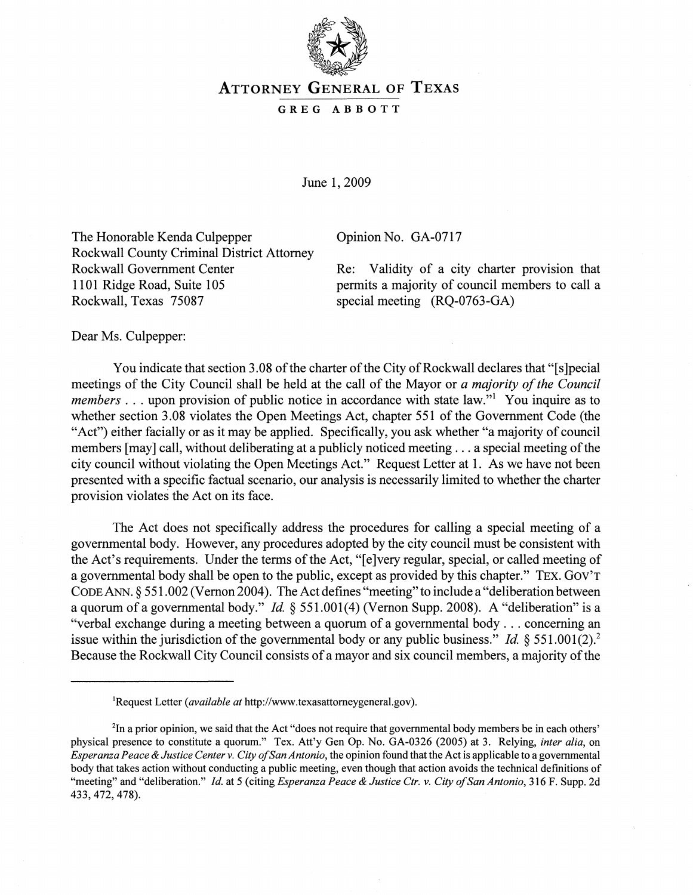

## ATTORNEY GENERAL OF TEXAS

## GREG ABBOTT

June 1,2009

The Honorable Kenda Culpepper Rockwall County Criminal District Attorney Rockwall Government Center 1101 Ridge Road, Suite 105 Rockwall, Texas 75087

Opinion No. GA-0717

Re: Validity of a city charter provision that permits a majority of council members to call a special meeting (RQ-0763-GA)

Dear Ms. Culpepper:

You indicate that section 3.08 of the charter of the City of Rockwall declares that "[s]pecial meetings of the City Council shall be held at the call of the Mayor or *a majority of the Council members* ... upon provision of public notice in accordance with state law."<sup>1</sup> You inquire as to whether section 3.08 violates the Open Meetings Act, chapter 551 of the Government Code (the "Act") either facially or as it may be applied. Specifically, you ask whether "a majority of council members [may] call, without deliberating at a publicly noticed meeting . . . a special meeting of the city council without violating the Open Meetings Act." Request Letter at 1. As we have not been presented with a specific factual scenario, our analysis is necessarily limited to whether the charter provision violates the Act on its face.

The Act does not specifically address the procedures for calling a special meeting of a governmental body. However, any procedures adopted by the city council must be consistent with the Act's requirements. Under the terms of the Act, "[e]very regular, special, or called meeting of a governmental body shall be open to the public, except as provided by this chapter." TEx. GOV'T CODE.ANN. § 551.002 (Vernon 2004). The Act defines "meeting" to include a "deliberation between a quorum of a governmental body." Id. § 551.001(4) (Vernon Supp. 2008). A "deliberation" is a "verbal exchange during a meeting between a quorum of a governmental body ... concerning an issue within the jurisdiction of the governmental body or any public business." *Id.*  $\S 551.001(2)$ .<sup>2</sup> Because the Rockwall City Council consists of a mayor and six council members, a majority of the

lRequest Letter *(available at* http://www.texasattomeygeneral.gov).

<sup>&</sup>lt;sup>2</sup>In a prior opinion, we said that the Act "does not require that governmental body members be in each others' physical presence to constitute a quorum." Tex. Att'y Gen Op. No. GA-0326 (2005) at 3. Relying, *inter alia,* on *Esperanza Peace* & *Justice Center* v. *City a/San Antonio,* the opinion found that the Act is applicable to a governmental body that takes action without conducting a public meeting, even though that action avoids the technical definitions of "meeting" and "deliberation." *Id.* at 5 (citing *Esperanza Peace* & *Justice Ctr.* v. *City a/San Antonio,* 316 F. Supp. 2d 433,472,478).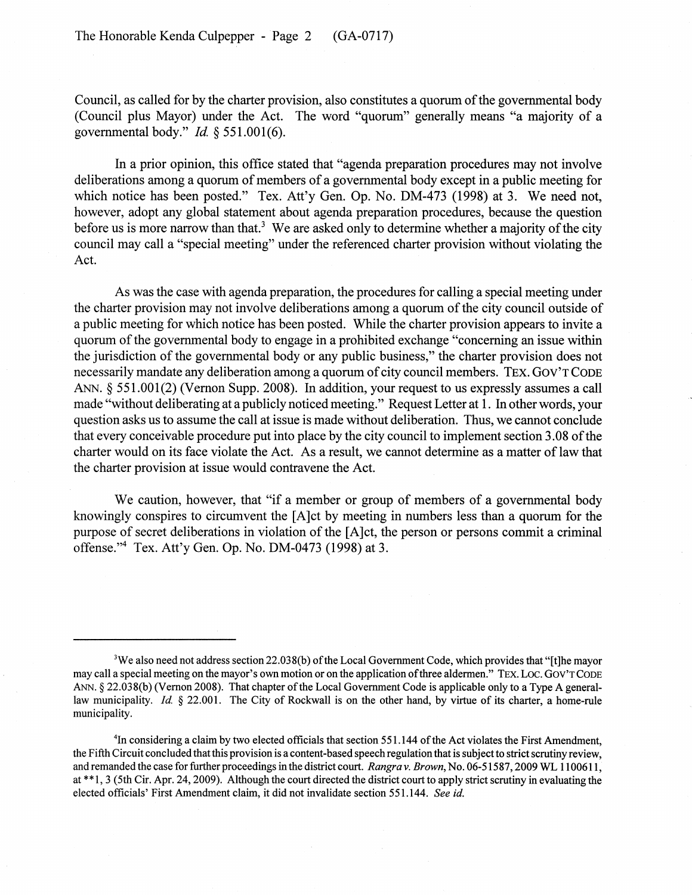Council, as called for by the charter provision, also constitutes a quorum of the governmental body (Council plus Mayor) under the Act. The word "quorum" generally means "a majority of a governmental body." *Id* § 551.001(6).

In a prior opinion, this office stated that "agenda preparation procedures may not involve deliberations among a quorum of members of a governmental body except in a public meeting for which notice has been posted." Tex. Att'y Gen. Op. No. DM-473 (1998) at 3. We need not, however, adopt any global statement about agenda preparation procedures, because the question before us is more narrow than that.<sup>3</sup> We are asked only to determine whether a majority of the city council may call a "special meeting" under the referenced charter provision without violating the Act.

As was the case with agenda preparation, the procedures for calling a special meeting under the charter provision may not involve deliberations among a quorum of the city council outside of a public meeting for which notice has been posted. While the charter provision appears to invite a quorum of the governmental body to engage in a prohibited exchange "concerning an issue within the jurisdiction of the governmental body or any public business," the charter provision does not necessarily mandate any deliberation among a quorum of city council members. TEx. GOV'T CODE ANN. § 551.001(2) (Vernon Supp. 2008). In addition, your request to us expressly assumes a call made "without deliberating at a publicly noticed meeting." Request Letter at 1. In other words, your question asks us to assume the call at issue is made without deliberation. Thus, we cannot conclude that every conceivable procedure put into place by the city council to implement section 3.08 of the charter would on its face violate the Act. As a result, we cannot determine as a matter of law that the charter provision at issue would contravene the Act.

We caution, however, that "if a member or group of members of a governmental body knowingly conspires to circumvent the [A]ct by meeting in numbers less than a quorum for the purpose of secret deliberations in violation of the [A ]ct, the person or persons commit a criminal offense."<sup>4</sup> Tex. Att'y Gen. Op. No. DM-0473 (1998) at 3.

<sup>&</sup>lt;sup>3</sup>We also need not address section 22.038(b) of the Local Government Code, which provides that "[t]he mayor may call a special meeting on the mayor's own motion or on the application of three aldermen." TEx. Loc. Gov'r CODE ANN. § 22.038(b) (Vernon 2008). That chapter of the Local Government Code is applicable only to a Type A generallaw municipality. *Id* § 22.001. The City of Rockwall is on the other hand, by virtue of its charter, a home-rule municipality.

<sup>&</sup>lt;sup>4</sup>In considering a claim by two elected officials that section 551.144 of the Act violates the First Amendment, the Fifth Circuit concluded that this provision is a content-based speech regulation that is subject to strict scrutiny review, and remanded the case for further proceedings in the district court. *Rangra* v. *Brown,* No. 06-51587,2009 WL 1100611, at \*\*1,3 (5th Cir. Apr. 24, 2009). Although the court directed the district court to apply strict scrutiny in evaluating the elected officials' First Amendment claim, it did not invalidate section 551.144. *See id.*